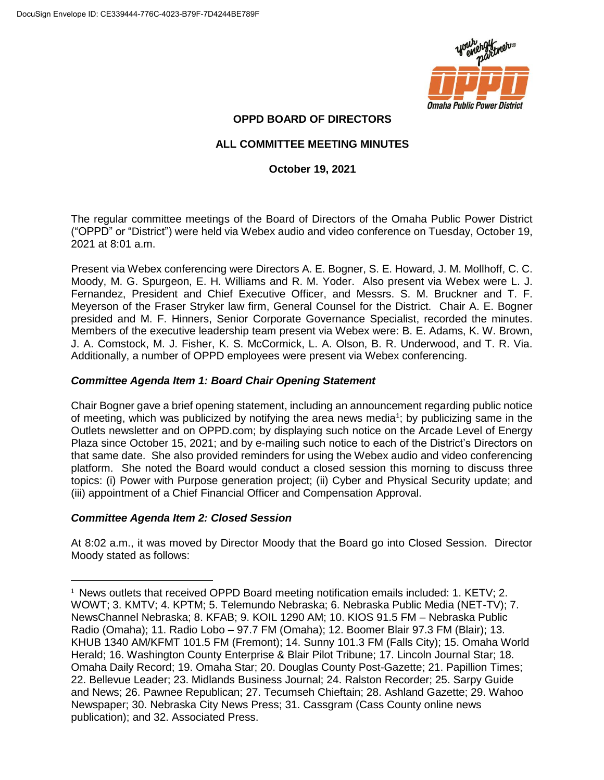

# **OPPD BOARD OF DIRECTORS**

# **ALL COMMITTEE MEETING MINUTES**

# **October 19, 2021**

The regular committee meetings of the Board of Directors of the Omaha Public Power District ("OPPD" or "District") were held via Webex audio and video conference on Tuesday, October 19, 2021 at 8:01 a.m.

Present via Webex conferencing were Directors A. E. Bogner, S. E. Howard, J. M. Mollhoff, C. C. Moody, M. G. Spurgeon, E. H. Williams and R. M. Yoder. Also present via Webex were L. J. Fernandez, President and Chief Executive Officer, and Messrs. S. M. Bruckner and T. F. Meyerson of the Fraser Stryker law firm, General Counsel for the District. Chair A. E. Bogner presided and M. F. Hinners, Senior Corporate Governance Specialist, recorded the minutes. Members of the executive leadership team present via Webex were: B. E. Adams, K. W. Brown, J. A. Comstock, M. J. Fisher, K. S. McCormick, L. A. Olson, B. R. Underwood, and T. R. Via. Additionally, a number of OPPD employees were present via Webex conferencing.

## *Committee Agenda Item 1: Board Chair Opening Statement*

Chair Bogner gave a brief opening statement, including an announcement regarding public notice of meeting, which was publicized by notifying the area news media<sup>1</sup>; by publicizing same in the Outlets newsletter and on OPPD.com; by displaying such notice on the Arcade Level of Energy Plaza since October 15, 2021; and by e-mailing such notice to each of the District's Directors on that same date. She also provided reminders for using the Webex audio and video conferencing platform. She noted the Board would conduct a closed session this morning to discuss three topics: (i) Power with Purpose generation project; (ii) Cyber and Physical Security update; and (iii) appointment of a Chief Financial Officer and Compensation Approval.

## *Committee Agenda Item 2: Closed Session*

 $\overline{a}$ 

At 8:02 a.m., it was moved by Director Moody that the Board go into Closed Session. Director Moody stated as follows:

<sup>&</sup>lt;sup>1</sup> News outlets that received OPPD Board meeting notification emails included: 1. KETV; 2. WOWT; 3. KMTV; 4. KPTM; 5. Telemundo Nebraska; 6. Nebraska Public Media (NET-TV); 7. NewsChannel Nebraska; 8. KFAB; 9. KOIL 1290 AM; 10. KIOS 91.5 FM – Nebraska Public Radio (Omaha); 11. Radio Lobo – 97.7 FM (Omaha); 12. Boomer Blair 97.3 FM (Blair); 13. KHUB 1340 AM/KFMT 101.5 FM (Fremont); 14. Sunny 101.3 FM (Falls City); 15. Omaha World Herald; 16. Washington County Enterprise & Blair Pilot Tribune; 17. Lincoln Journal Star; 18. Omaha Daily Record; 19. Omaha Star; 20. Douglas County Post-Gazette; 21. Papillion Times; 22. Bellevue Leader; 23. Midlands Business Journal; 24. Ralston Recorder; 25. Sarpy Guide and News; 26. Pawnee Republican; 27. Tecumseh Chieftain; 28. Ashland Gazette; 29. Wahoo Newspaper; 30. Nebraska City News Press; 31. Cassgram (Cass County online news publication); and 32. Associated Press.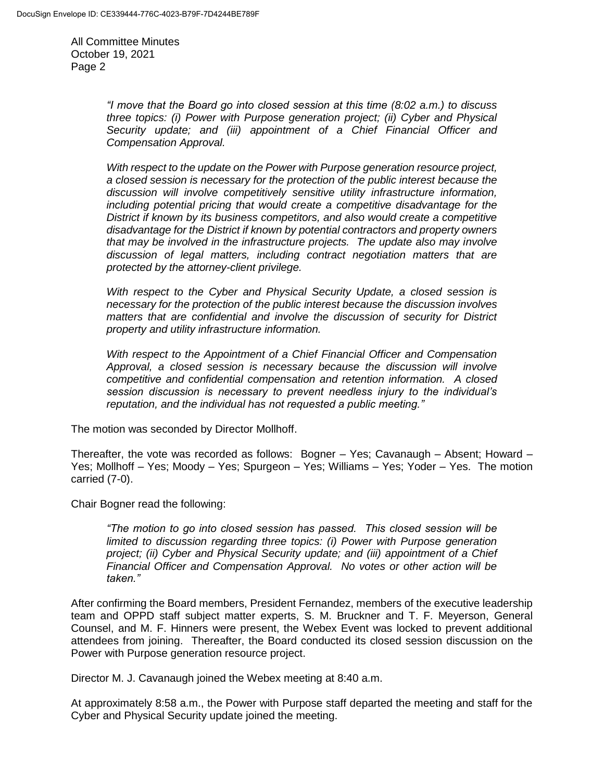> *"I move that the Board go into closed session at this time (8:02 a.m.) to discuss three topics: (i) Power with Purpose generation project; (ii) Cyber and Physical Security update; and (iii) appointment of a Chief Financial Officer and Compensation Approval.*

> *With respect to the update on the Power with Purpose generation resource project, a closed session is necessary for the protection of the public interest because the discussion will involve competitively sensitive utility infrastructure information, including potential pricing that would create a competitive disadvantage for the District if known by its business competitors, and also would create a competitive disadvantage for the District if known by potential contractors and property owners that may be involved in the infrastructure projects. The update also may involve discussion of legal matters, including contract negotiation matters that are protected by the attorney-client privilege.*

> *With respect to the Cyber and Physical Security Update, a closed session is necessary for the protection of the public interest because the discussion involves matters that are confidential and involve the discussion of security for District property and utility infrastructure information.*

> *With respect to the Appointment of a Chief Financial Officer and Compensation Approval, a closed session is necessary because the discussion will involve competitive and confidential compensation and retention information. A closed session discussion is necessary to prevent needless injury to the individual's reputation, and the individual has not requested a public meeting."*

The motion was seconded by Director Mollhoff.

Thereafter, the vote was recorded as follows: Bogner – Yes; Cavanaugh – Absent; Howard – Yes; Mollhoff – Yes; Moody – Yes; Spurgeon – Yes; Williams – Yes; Yoder – Yes. The motion carried (7-0).

Chair Bogner read the following:

*"The motion to go into closed session has passed. This closed session will be limited to discussion regarding three topics: (i) Power with Purpose generation project; (ii) Cyber and Physical Security update; and (iii) appointment of a Chief Financial Officer and Compensation Approval. No votes or other action will be taken."*

After confirming the Board members, President Fernandez, members of the executive leadership team and OPPD staff subject matter experts, S. M. Bruckner and T. F. Meyerson, General Counsel, and M. F. Hinners were present, the Webex Event was locked to prevent additional attendees from joining. Thereafter, the Board conducted its closed session discussion on the Power with Purpose generation resource project.

Director M. J. Cavanaugh joined the Webex meeting at 8:40 a.m.

At approximately 8:58 a.m., the Power with Purpose staff departed the meeting and staff for the Cyber and Physical Security update joined the meeting.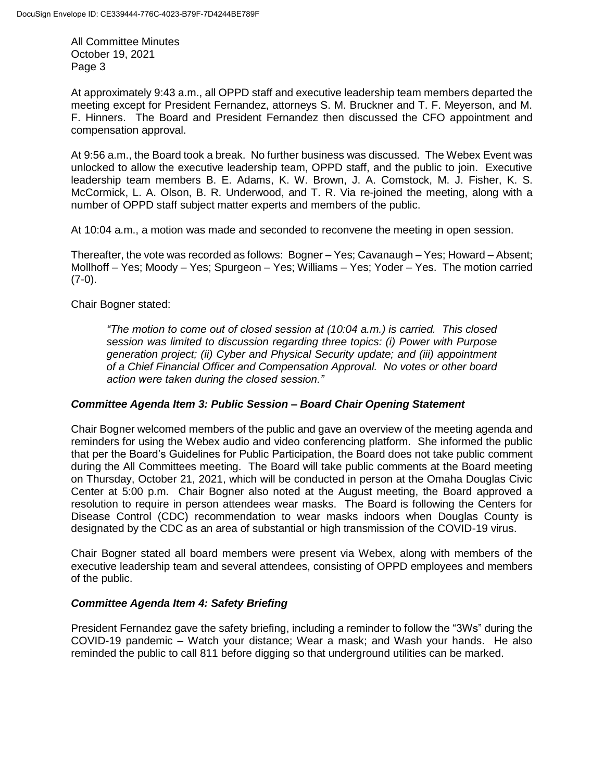At approximately 9:43 a.m., all OPPD staff and executive leadership team members departed the meeting except for President Fernandez, attorneys S. M. Bruckner and T. F. Meyerson, and M. F. Hinners. The Board and President Fernandez then discussed the CFO appointment and compensation approval.

At 9:56 a.m., the Board took a break. No further business was discussed. The Webex Event was unlocked to allow the executive leadership team, OPPD staff, and the public to join. Executive leadership team members B. E. Adams, K. W. Brown, J. A. Comstock, M. J. Fisher, K. S. McCormick, L. A. Olson, B. R. Underwood, and T. R. Via re-joined the meeting, along with a number of OPPD staff subject matter experts and members of the public.

At 10:04 a.m., a motion was made and seconded to reconvene the meeting in open session.

Thereafter, the vote was recorded as follows: Bogner – Yes; Cavanaugh – Yes; Howard – Absent; Mollhoff – Yes; Moody – Yes; Spurgeon – Yes; Williams – Yes; Yoder – Yes. The motion carried  $(7-0)$ .

Chair Bogner stated:

*"The motion to come out of closed session at (10:04 a.m.) is carried. This closed session was limited to discussion regarding three topics: (i) Power with Purpose generation project; (ii) Cyber and Physical Security update; and (iii) appointment of a Chief Financial Officer and Compensation Approval. No votes or other board action were taken during the closed session."*

## *Committee Agenda Item 3: Public Session – Board Chair Opening Statement*

Chair Bogner welcomed members of the public and gave an overview of the meeting agenda and reminders for using the Webex audio and video conferencing platform. She informed the public that per the Board's Guidelines for Public Participation, the Board does not take public comment during the All Committees meeting. The Board will take public comments at the Board meeting on Thursday, October 21, 2021, which will be conducted in person at the Omaha Douglas Civic Center at 5:00 p.m. Chair Bogner also noted at the August meeting, the Board approved a resolution to require in person attendees wear masks. The Board is following the Centers for Disease Control (CDC) recommendation to wear masks indoors when Douglas County is designated by the CDC as an area of substantial or high transmission of the COVID-19 virus.

Chair Bogner stated all board members were present via Webex, along with members of the executive leadership team and several attendees, consisting of OPPD employees and members of the public.

## *Committee Agenda Item 4: Safety Briefing*

President Fernandez gave the safety briefing, including a reminder to follow the "3Ws" during the COVID-19 pandemic – Watch your distance; Wear a mask; and Wash your hands. He also reminded the public to call 811 before digging so that underground utilities can be marked.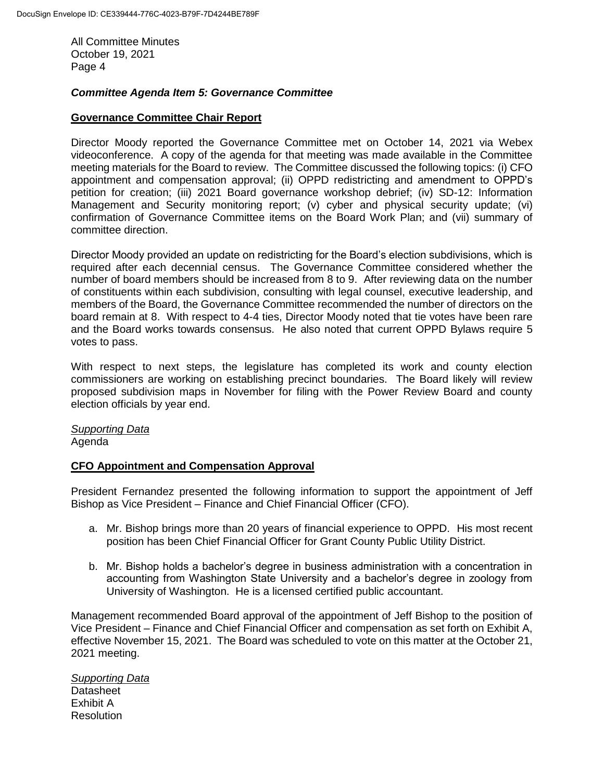#### *Committee Agenda Item 5: Governance Committee*

#### **Governance Committee Chair Report**

Director Moody reported the Governance Committee met on October 14, 2021 via Webex videoconference. A copy of the agenda for that meeting was made available in the Committee meeting materials for the Board to review. The Committee discussed the following topics: (i) CFO appointment and compensation approval; (ii) OPPD redistricting and amendment to OPPD's petition for creation; (iii) 2021 Board governance workshop debrief; (iv) SD-12: Information Management and Security monitoring report; (v) cyber and physical security update; (vi) confirmation of Governance Committee items on the Board Work Plan; and (vii) summary of committee direction.

Director Moody provided an update on redistricting for the Board's election subdivisions, which is required after each decennial census. The Governance Committee considered whether the number of board members should be increased from 8 to 9. After reviewing data on the number of constituents within each subdivision, consulting with legal counsel, executive leadership, and members of the Board, the Governance Committee recommended the number of directors on the board remain at 8. With respect to 4-4 ties, Director Moody noted that tie votes have been rare and the Board works towards consensus. He also noted that current OPPD Bylaws require 5 votes to pass.

With respect to next steps, the legislature has completed its work and county election commissioners are working on establishing precinct boundaries. The Board likely will review proposed subdivision maps in November for filing with the Power Review Board and county election officials by year end.

*Supporting Data* Agenda

#### **CFO Appointment and Compensation Approval**

President Fernandez presented the following information to support the appointment of Jeff Bishop as Vice President – Finance and Chief Financial Officer (CFO).

- a. Mr. Bishop brings more than 20 years of financial experience to OPPD. His most recent position has been Chief Financial Officer for Grant County Public Utility District.
- b. Mr. Bishop holds a bachelor's degree in business administration with a concentration in accounting from Washington State University and a bachelor's degree in zoology from University of Washington. He is a licensed certified public accountant.

Management recommended Board approval of the appointment of Jeff Bishop to the position of Vice President – Finance and Chief Financial Officer and compensation as set forth on Exhibit A, effective November 15, 2021. The Board was scheduled to vote on this matter at the October 21, 2021 meeting.

*Supporting Data* Datasheet Exhibit A **Resolution**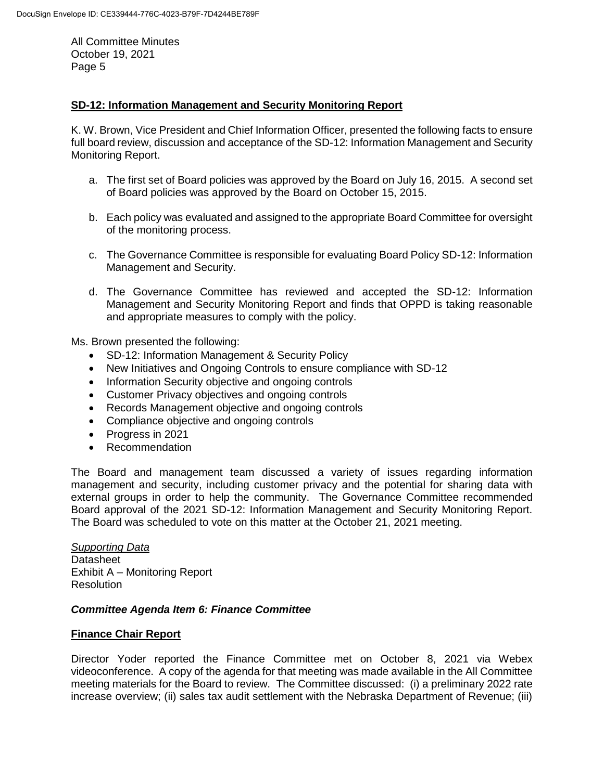#### **SD-12: Information Management and Security Monitoring Report**

K. W. Brown, Vice President and Chief Information Officer, presented the following facts to ensure full board review, discussion and acceptance of the SD-12: Information Management and Security Monitoring Report.

- a. The first set of Board policies was approved by the Board on July 16, 2015. A second set of Board policies was approved by the Board on October 15, 2015.
- b. Each policy was evaluated and assigned to the appropriate Board Committee for oversight of the monitoring process.
- c. The Governance Committee is responsible for evaluating Board Policy SD-12: Information Management and Security.
- d. The Governance Committee has reviewed and accepted the SD-12: Information Management and Security Monitoring Report and finds that OPPD is taking reasonable and appropriate measures to comply with the policy.

Ms. Brown presented the following:

- SD-12: Information Management & Security Policy
- New Initiatives and Ongoing Controls to ensure compliance with SD-12
- Information Security objective and ongoing controls
- Customer Privacy objectives and ongoing controls
- Records Management objective and ongoing controls
- Compliance objective and ongoing controls
- Progress in 2021
- Recommendation

The Board and management team discussed a variety of issues regarding information management and security, including customer privacy and the potential for sharing data with external groups in order to help the community. The Governance Committee recommended Board approval of the 2021 SD-12: Information Management and Security Monitoring Report. The Board was scheduled to vote on this matter at the October 21, 2021 meeting.

*Supporting Data* **Datasheet** Exhibit A – Monitoring Report **Resolution** 

#### *Committee Agenda Item 6: Finance Committee*

#### **Finance Chair Report**

Director Yoder reported the Finance Committee met on October 8, 2021 via Webex videoconference. A copy of the agenda for that meeting was made available in the All Committee meeting materials for the Board to review. The Committee discussed: (i) a preliminary 2022 rate increase overview; (ii) sales tax audit settlement with the Nebraska Department of Revenue; (iii)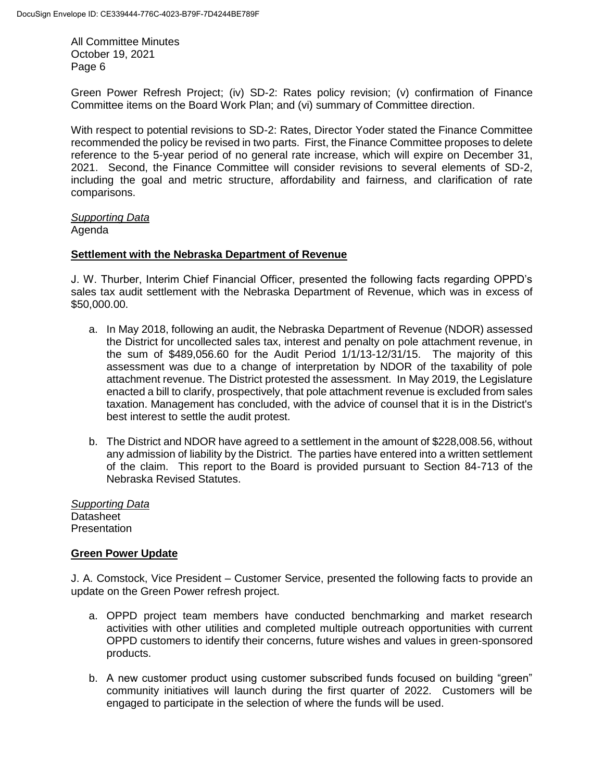Green Power Refresh Project; (iv) SD-2: Rates policy revision; (v) confirmation of Finance Committee items on the Board Work Plan; and (vi) summary of Committee direction.

With respect to potential revisions to SD-2: Rates, Director Yoder stated the Finance Committee recommended the policy be revised in two parts. First, the Finance Committee proposes to delete reference to the 5-year period of no general rate increase, which will expire on December 31, 2021. Second, the Finance Committee will consider revisions to several elements of SD-2, including the goal and metric structure, affordability and fairness, and clarification of rate comparisons.

*Supporting Data*

Agenda

## **Settlement with the Nebraska Department of Revenue**

J. W. Thurber, Interim Chief Financial Officer, presented the following facts regarding OPPD's sales tax audit settlement with the Nebraska Department of Revenue, which was in excess of \$50,000.00.

- a. In May 2018, following an audit, the Nebraska Department of Revenue (NDOR) assessed the District for uncollected sales tax, interest and penalty on pole attachment revenue, in the sum of \$489,056.60 for the Audit Period 1/1/13-12/31/15. The majority of this assessment was due to a change of interpretation by NDOR of the taxability of pole attachment revenue. The District protested the assessment. In May 2019, the Legislature enacted a bill to clarify, prospectively, that pole attachment revenue is excluded from sales taxation. Management has concluded, with the advice of counsel that it is in the District's best interest to settle the audit protest.
- b. The District and NDOR have agreed to a settlement in the amount of \$228,008.56, without any admission of liability by the District. The parties have entered into a written settlement of the claim. This report to the Board is provided pursuant to Section 84-713 of the Nebraska Revised Statutes.

*Supporting Data* **Datasheet Presentation** 

## **Green Power Update**

J. A. Comstock, Vice President – Customer Service, presented the following facts to provide an update on the Green Power refresh project.

- a. OPPD project team members have conducted benchmarking and market research activities with other utilities and completed multiple outreach opportunities with current OPPD customers to identify their concerns, future wishes and values in green-sponsored products.
- b. A new customer product using customer subscribed funds focused on building "green" community initiatives will launch during the first quarter of 2022. Customers will be engaged to participate in the selection of where the funds will be used.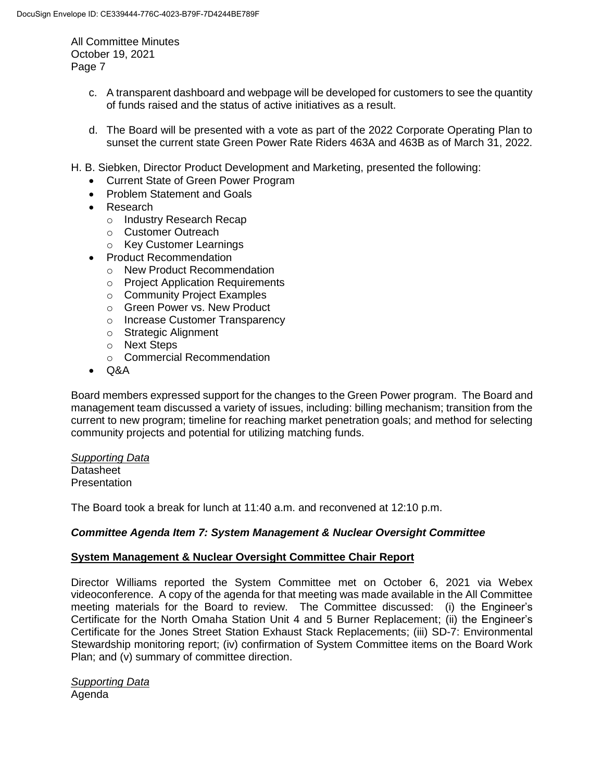- c. A transparent dashboard and webpage will be developed for customers to see the quantity of funds raised and the status of active initiatives as a result.
- d. The Board will be presented with a vote as part of the 2022 Corporate Operating Plan to sunset the current state Green Power Rate Riders 463A and 463B as of March 31, 2022.
- H. B. Siebken, Director Product Development and Marketing, presented the following:
	- Current State of Green Power Program
	- Problem Statement and Goals
	- Research
		- o Industry Research Recap
		- o Customer Outreach
		- o Key Customer Learnings
	- Product Recommendation
		- o New Product Recommendation
		- o Project Application Requirements
		- o Community Project Examples
		- o Green Power vs. New Product
		- o Increase Customer Transparency
		- o Strategic Alignment
		- o Next Steps
		- o Commercial Recommendation
	- $\bullet$  Q&A

Board members expressed support for the changes to the Green Power program. The Board and management team discussed a variety of issues, including: billing mechanism; transition from the current to new program; timeline for reaching market penetration goals; and method for selecting community projects and potential for utilizing matching funds.

*Supporting Data* **Datasheet Presentation** 

The Board took a break for lunch at 11:40 a.m. and reconvened at 12:10 p.m.

## *Committee Agenda Item 7: System Management & Nuclear Oversight Committee*

#### **System Management & Nuclear Oversight Committee Chair Report**

Director Williams reported the System Committee met on October 6, 2021 via Webex videoconference. A copy of the agenda for that meeting was made available in the All Committee meeting materials for the Board to review. The Committee discussed: (i) the Engineer's Certificate for the North Omaha Station Unit 4 and 5 Burner Replacement; (ii) the Engineer's Certificate for the Jones Street Station Exhaust Stack Replacements; (iii) SD-7: Environmental Stewardship monitoring report; (iv) confirmation of System Committee items on the Board Work Plan; and (v) summary of committee direction.

*Supporting Data* Agenda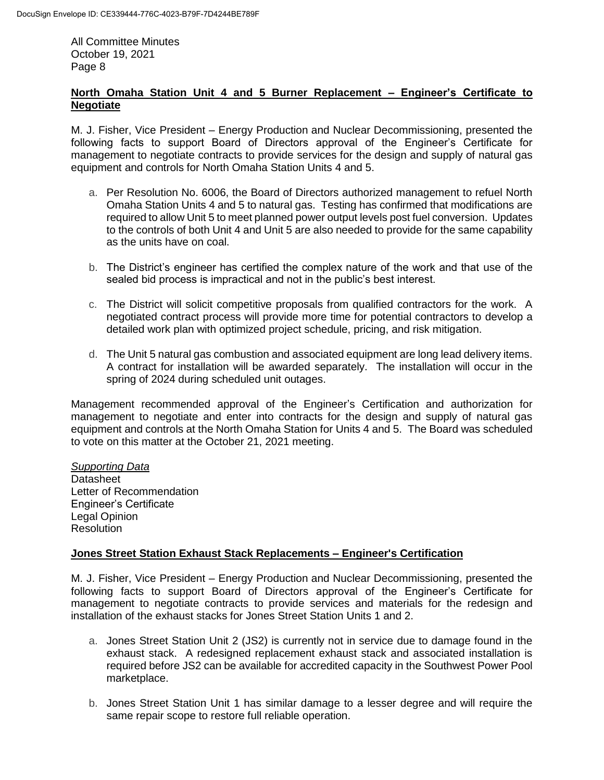## **North Omaha Station Unit 4 and 5 Burner Replacement – Engineer's Certificate to Negotiate**

M. J. Fisher, Vice President – Energy Production and Nuclear Decommissioning, presented the following facts to support Board of Directors approval of the Engineer's Certificate for management to negotiate contracts to provide services for the design and supply of natural gas equipment and controls for North Omaha Station Units 4 and 5.

- a. Per Resolution No. 6006, the Board of Directors authorized management to refuel North Omaha Station Units 4 and 5 to natural gas. Testing has confirmed that modifications are required to allow Unit 5 to meet planned power output levels post fuel conversion. Updates to the controls of both Unit 4 and Unit 5 are also needed to provide for the same capability as the units have on coal.
- b. The District's engineer has certified the complex nature of the work and that use of the sealed bid process is impractical and not in the public's best interest.
- c. The District will solicit competitive proposals from qualified contractors for the work. A negotiated contract process will provide more time for potential contractors to develop a detailed work plan with optimized project schedule, pricing, and risk mitigation.
- d. The Unit 5 natural gas combustion and associated equipment are long lead delivery items. A contract for installation will be awarded separately. The installation will occur in the spring of 2024 during scheduled unit outages.

Management recommended approval of the Engineer's Certification and authorization for management to negotiate and enter into contracts for the design and supply of natural gas equipment and controls at the North Omaha Station for Units 4 and 5. The Board was scheduled to vote on this matter at the October 21, 2021 meeting.

*Supporting Data* **Datasheet** Letter of Recommendation Engineer's Certificate Legal Opinion **Resolution** 

## **Jones Street Station Exhaust Stack Replacements – Engineer's Certification**

M. J. Fisher, Vice President – Energy Production and Nuclear Decommissioning, presented the following facts to support Board of Directors approval of the Engineer's Certificate for management to negotiate contracts to provide services and materials for the redesign and installation of the exhaust stacks for Jones Street Station Units 1 and 2.

- a. Jones Street Station Unit 2 (JS2) is currently not in service due to damage found in the exhaust stack. A redesigned replacement exhaust stack and associated installation is required before JS2 can be available for accredited capacity in the Southwest Power Pool marketplace.
- b. Jones Street Station Unit 1 has similar damage to a lesser degree and will require the same repair scope to restore full reliable operation.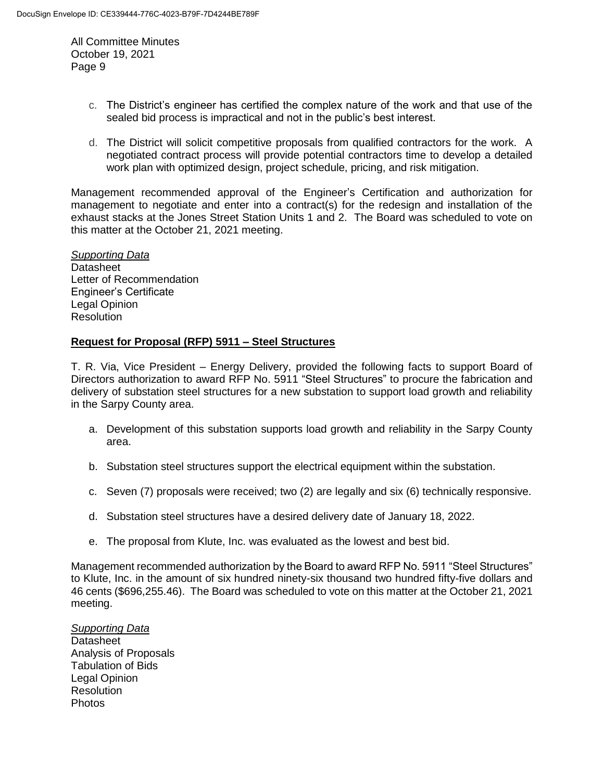- c. The District's engineer has certified the complex nature of the work and that use of the sealed bid process is impractical and not in the public's best interest.
- d. The District will solicit competitive proposals from qualified contractors for the work. A negotiated contract process will provide potential contractors time to develop a detailed work plan with optimized design, project schedule, pricing, and risk mitigation.

Management recommended approval of the Engineer's Certification and authorization for management to negotiate and enter into a contract(s) for the redesign and installation of the exhaust stacks at the Jones Street Station Units 1 and 2. The Board was scheduled to vote on this matter at the October 21, 2021 meeting.

*Supporting Data* **Datasheet** Letter of Recommendation Engineer's Certificate Legal Opinion **Resolution** 

#### **Request for Proposal (RFP) 5911 – Steel Structures**

T. R. Via, Vice President – Energy Delivery, provided the following facts to support Board of Directors authorization to award RFP No. 5911 "Steel Structures" to procure the fabrication and delivery of substation steel structures for a new substation to support load growth and reliability in the Sarpy County area.

- a. Development of this substation supports load growth and reliability in the Sarpy County area.
- b. Substation steel structures support the electrical equipment within the substation.
- c. Seven (7) proposals were received; two (2) are legally and six (6) technically responsive.
- d. Substation steel structures have a desired delivery date of January 18, 2022.
- e. The proposal from Klute, Inc. was evaluated as the lowest and best bid.

Management recommended authorization by the Board to award RFP No. 5911 "Steel Structures" to Klute, Inc. in the amount of six hundred ninety-six thousand two hundred fifty-five dollars and 46 cents (\$696,255.46). The Board was scheduled to vote on this matter at the October 21, 2021 meeting.

*Supporting Data* **Datasheet** Analysis of Proposals Tabulation of Bids Legal Opinion **Resolution** Photos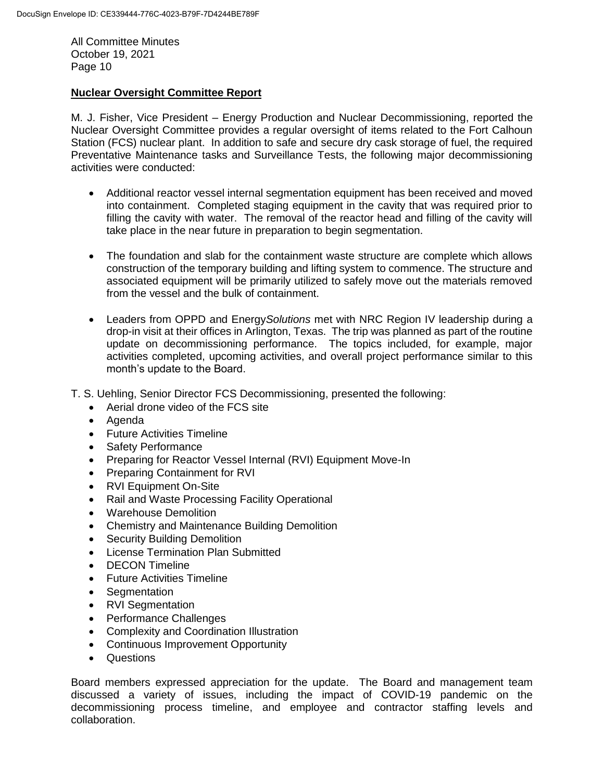## **Nuclear Oversight Committee Report**

M. J. Fisher, Vice President – Energy Production and Nuclear Decommissioning, reported the Nuclear Oversight Committee provides a regular oversight of items related to the Fort Calhoun Station (FCS) nuclear plant. In addition to safe and secure dry cask storage of fuel, the required Preventative Maintenance tasks and Surveillance Tests, the following major decommissioning activities were conducted:

- Additional reactor vessel internal segmentation equipment has been received and moved into containment. Completed staging equipment in the cavity that was required prior to filling the cavity with water. The removal of the reactor head and filling of the cavity will take place in the near future in preparation to begin segmentation.
- The foundation and slab for the containment waste structure are complete which allows construction of the temporary building and lifting system to commence. The structure and associated equipment will be primarily utilized to safely move out the materials removed from the vessel and the bulk of containment.
- Leaders from OPPD and Energy*Solutions* met with NRC Region IV leadership during a drop-in visit at their offices in Arlington, Texas. The trip was planned as part of the routine update on decommissioning performance. The topics included, for example, major activities completed, upcoming activities, and overall project performance similar to this month's update to the Board.
- T. S. Uehling, Senior Director FCS Decommissioning, presented the following:
	- Aerial drone video of the FCS site
	- Agenda
	- Future Activities Timeline
	- Safety Performance
	- Preparing for Reactor Vessel Internal (RVI) Equipment Move-In
	- Preparing Containment for RVI
	- RVI Equipment On-Site
	- Rail and Waste Processing Facility Operational
	- Warehouse Demolition
	- Chemistry and Maintenance Building Demolition
	- Security Building Demolition
	- License Termination Plan Submitted
	- DECON Timeline
	- Future Activities Timeline
	- Seamentation
	- RVI Segmentation
	- Performance Challenges
	- Complexity and Coordination Illustration
	- Continuous Improvement Opportunity
	- Questions

Board members expressed appreciation for the update. The Board and management team discussed a variety of issues, including the impact of COVID-19 pandemic on the decommissioning process timeline, and employee and contractor staffing levels and collaboration.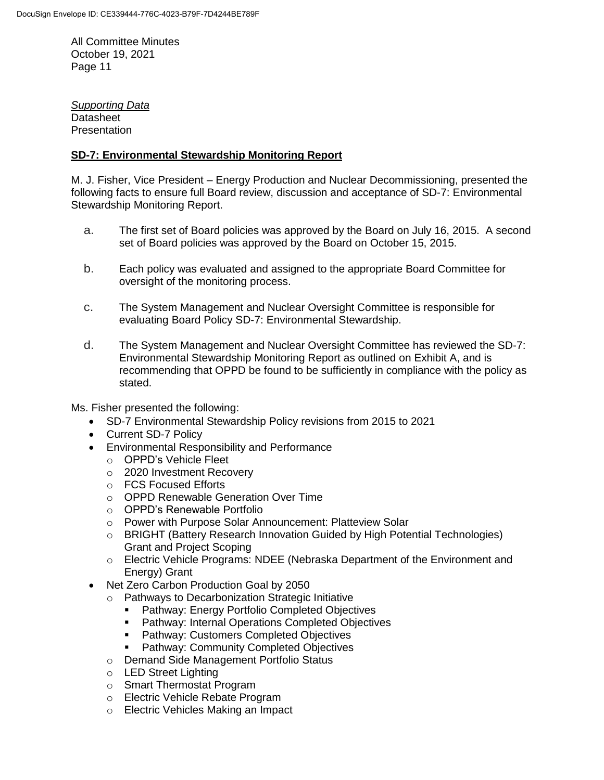*Supporting Data* Datasheet **Presentation** 

# **SD-7: Environmental Stewardship Monitoring Report**

M. J. Fisher, Vice President – Energy Production and Nuclear Decommissioning, presented the following facts to ensure full Board review, discussion and acceptance of SD-7: Environmental Stewardship Monitoring Report.

- a. The first set of Board policies was approved by the Board on July 16, 2015. A second set of Board policies was approved by the Board on October 15, 2015.
- b. Each policy was evaluated and assigned to the appropriate Board Committee for oversight of the monitoring process.
- c. The System Management and Nuclear Oversight Committee is responsible for evaluating Board Policy SD-7: Environmental Stewardship.
- d. The System Management and Nuclear Oversight Committee has reviewed the SD-7: Environmental Stewardship Monitoring Report as outlined on Exhibit A, and is recommending that OPPD be found to be sufficiently in compliance with the policy as stated.

Ms. Fisher presented the following:

- SD-7 Environmental Stewardship Policy revisions from 2015 to 2021
- Current SD-7 Policy
- Environmental Responsibility and Performance
	- o OPPD's Vehicle Fleet
	- o 2020 Investment Recovery
	- o FCS Focused Efforts
	- o OPPD Renewable Generation Over Time
	- o OPPD's Renewable Portfolio
	- o Power with Purpose Solar Announcement: Platteview Solar
	- o BRIGHT (Battery Research Innovation Guided by High Potential Technologies) Grant and Project Scoping
	- o Electric Vehicle Programs: NDEE (Nebraska Department of the Environment and Energy) Grant
- Net Zero Carbon Production Goal by 2050
	- o Pathways to Decarbonization Strategic Initiative
		- **Pathway: Energy Portfolio Completed Objectives**
		- **Pathway: Internal Operations Completed Objectives**
		- **Pathway: Customers Completed Objectives**
		- Pathway: Community Completed Objectives
	- o Demand Side Management Portfolio Status
	- o LED Street Lighting
	- o Smart Thermostat Program
	- o Electric Vehicle Rebate Program
	- o Electric Vehicles Making an Impact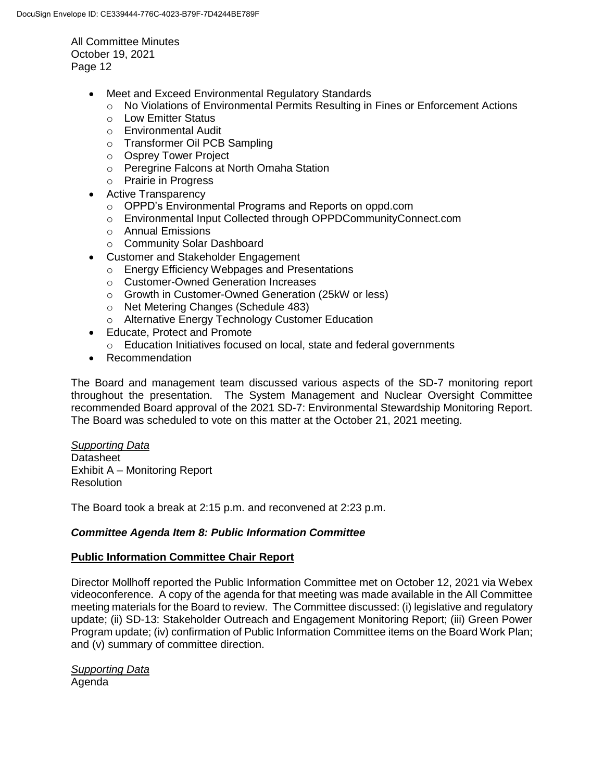- Meet and Exceed Environmental Regulatory Standards
	- $\circ$  No Violations of Environmental Permits Resulting in Fines or Enforcement Actions
	- o Low Emitter Status
	- o Environmental Audit
	- o Transformer Oil PCB Sampling
	- o Osprey Tower Project
	- o Peregrine Falcons at North Omaha Station
	- o Prairie in Progress
- Active Transparency
	- o OPPD's Environmental Programs and Reports on oppd.com
	- o Environmental Input Collected through OPPDCommunityConnect.com
	- o Annual Emissions
	- o Community Solar Dashboard
- Customer and Stakeholder Engagement
	- o Energy Efficiency Webpages and Presentations
	- o Customer-Owned Generation Increases
	- o Growth in Customer-Owned Generation (25kW or less)
	- o Net Metering Changes (Schedule 483)
	- o Alternative Energy Technology Customer Education
- Educate, Protect and Promote
	- o Education Initiatives focused on local, state and federal governments
- Recommendation

The Board and management team discussed various aspects of the SD-7 monitoring report throughout the presentation. The System Management and Nuclear Oversight Committee recommended Board approval of the 2021 SD-7: Environmental Stewardship Monitoring Report. The Board was scheduled to vote on this matter at the October 21, 2021 meeting.

## *Supporting Data*

Datasheet Exhibit A – Monitoring Report Resolution

The Board took a break at 2:15 p.m. and reconvened at 2:23 p.m.

## *Committee Agenda Item 8: Public Information Committee*

## **Public Information Committee Chair Report**

Director Mollhoff reported the Public Information Committee met on October 12, 2021 via Webex videoconference. A copy of the agenda for that meeting was made available in the All Committee meeting materials for the Board to review. The Committee discussed: (i) legislative and regulatory update; (ii) SD-13: Stakeholder Outreach and Engagement Monitoring Report; (iii) Green Power Program update; (iv) confirmation of Public Information Committee items on the Board Work Plan; and (v) summary of committee direction.

*Supporting Data* Agenda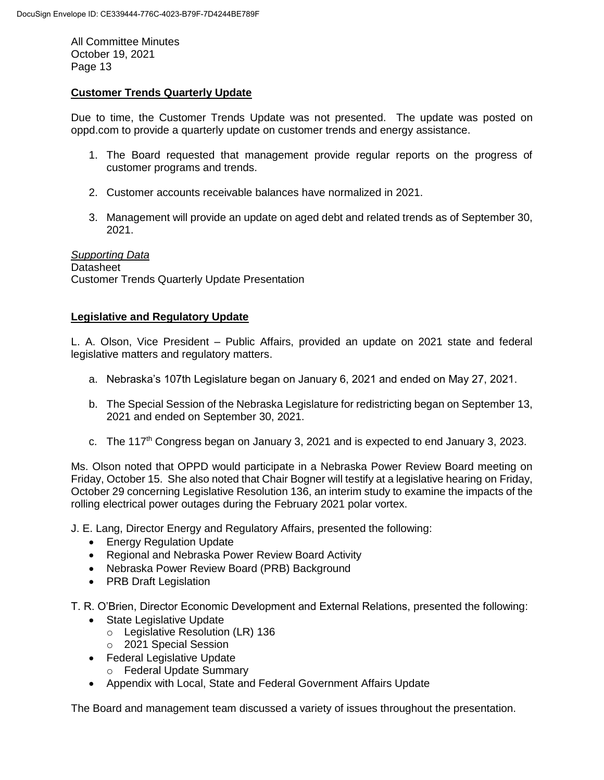## **Customer Trends Quarterly Update**

Due to time, the Customer Trends Update was not presented. The update was posted on oppd.com to provide a quarterly update on customer trends and energy assistance.

- 1. The Board requested that management provide regular reports on the progress of customer programs and trends.
- 2. Customer accounts receivable balances have normalized in 2021.
- 3. Management will provide an update on aged debt and related trends as of September 30, 2021.

*Supporting Data* **Datasheet** Customer Trends Quarterly Update Presentation

#### **Legislative and Regulatory Update**

L. A. Olson, Vice President – Public Affairs, provided an update on 2021 state and federal legislative matters and regulatory matters.

- a. Nebraska's 107th Legislature began on January 6, 2021 and ended on May 27, 2021.
- b. The Special Session of the Nebraska Legislature for redistricting began on September 13, 2021 and ended on September 30, 2021.
- c. The 117<sup>th</sup> Congress began on January 3, 2021 and is expected to end January 3, 2023.

Ms. Olson noted that OPPD would participate in a Nebraska Power Review Board meeting on Friday, October 15. She also noted that Chair Bogner will testify at a legislative hearing on Friday, October 29 concerning Legislative Resolution 136, an interim study to examine the impacts of the rolling electrical power outages during the February 2021 polar vortex.

J. E. Lang, Director Energy and Regulatory Affairs, presented the following:

- **•** Energy Regulation Update
- Regional and Nebraska Power Review Board Activity
- Nebraska Power Review Board (PRB) Background
- PRB Draft Legislation

T. R. O'Brien, Director Economic Development and External Relations, presented the following:

- State Legislative Update
	- o Legislative Resolution (LR) 136
	- o 2021 Special Session
- Federal Legislative Update
	- o Federal Update Summary
- Appendix with Local, State and Federal Government Affairs Update

The Board and management team discussed a variety of issues throughout the presentation.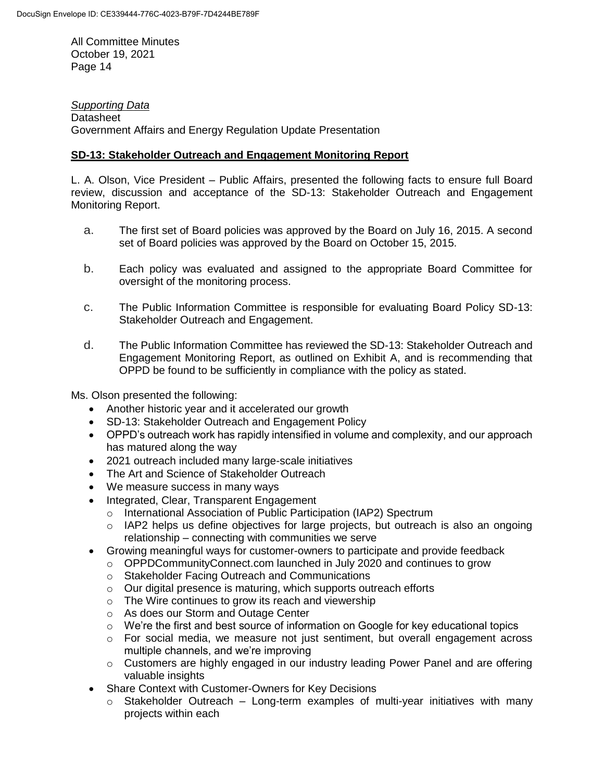*Supporting Data* **Datasheet** Government Affairs and Energy Regulation Update Presentation

## **SD-13: Stakeholder Outreach and Engagement Monitoring Report**

L. A. Olson, Vice President – Public Affairs, presented the following facts to ensure full Board review, discussion and acceptance of the SD-13: Stakeholder Outreach and Engagement Monitoring Report.

- a. The first set of Board policies was approved by the Board on July 16, 2015. A second set of Board policies was approved by the Board on October 15, 2015.
- b. Each policy was evaluated and assigned to the appropriate Board Committee for oversight of the monitoring process.
- c. The Public Information Committee is responsible for evaluating Board Policy SD-13: Stakeholder Outreach and Engagement.
- d. The Public Information Committee has reviewed the SD-13: Stakeholder Outreach and Engagement Monitoring Report, as outlined on Exhibit A, and is recommending that OPPD be found to be sufficiently in compliance with the policy as stated.

Ms. Olson presented the following:

- Another historic year and it accelerated our growth
- SD-13: Stakeholder Outreach and Engagement Policy
- OPPD's outreach work has rapidly intensified in volume and complexity, and our approach has matured along the way
- 2021 outreach included many large-scale initiatives
- The Art and Science of Stakeholder Outreach
- We measure success in many ways
- Integrated, Clear, Transparent Engagement
	- o International Association of Public Participation (IAP2) Spectrum
	- o IAP2 helps us define objectives for large projects, but outreach is also an ongoing relationship – connecting with communities we serve
- Growing meaningful ways for customer-owners to participate and provide feedback
	- o OPPDCommunityConnect.com launched in July 2020 and continues to grow
		- o Stakeholder Facing Outreach and Communications
		- o Our digital presence is maturing, which supports outreach efforts
		- $\circ$  The Wire continues to grow its reach and viewership
		- o As does our Storm and Outage Center
		- $\circ$  We're the first and best source of information on Google for key educational topics
		- $\circ$  For social media, we measure not just sentiment, but overall engagement across multiple channels, and we're improving
		- o Customers are highly engaged in our industry leading Power Panel and are offering valuable insights
- Share Context with Customer-Owners for Key Decisions
	- $\circ$  Stakeholder Outreach Long-term examples of multi-year initiatives with many projects within each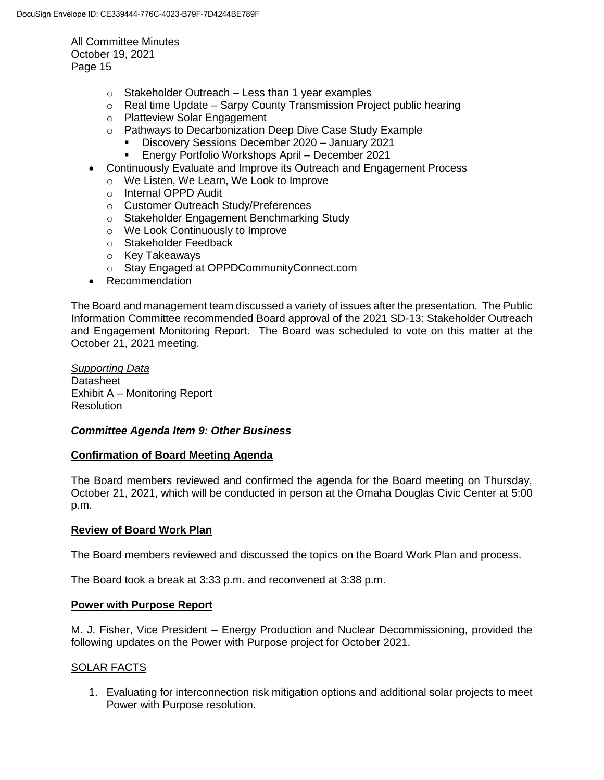- $\circ$  Stakeholder Outreach Less than 1 year examples
- $\circ$  Real time Update Sarpy County Transmission Project public hearing
- o Platteview Solar Engagement
- o Pathways to Decarbonization Deep Dive Case Study Example
	- Discovery Sessions December 2020 January 2021
	- Energy Portfolio Workshops April December 2021
- Continuously Evaluate and Improve its Outreach and Engagement Process
	- o We Listen, We Learn, We Look to Improve
	- o Internal OPPD Audit
	- o Customer Outreach Study/Preferences
	- o Stakeholder Engagement Benchmarking Study
	- o We Look Continuously to Improve
	- o Stakeholder Feedback
	- o Key Takeaways
	- o Stay Engaged at OPPDCommunityConnect.com
- Recommendation

The Board and management team discussed a variety of issues after the presentation. The Public Information Committee recommended Board approval of the 2021 SD-13: Stakeholder Outreach and Engagement Monitoring Report. The Board was scheduled to vote on this matter at the October 21, 2021 meeting.

# *Supporting Data*

**Datasheet** Exhibit A – Monitoring Report **Resolution** 

## *Committee Agenda Item 9: Other Business*

#### **Confirmation of Board Meeting Agenda**

The Board members reviewed and confirmed the agenda for the Board meeting on Thursday, October 21, 2021, which will be conducted in person at the Omaha Douglas Civic Center at 5:00 p.m.

#### **Review of Board Work Plan**

The Board members reviewed and discussed the topics on the Board Work Plan and process.

The Board took a break at 3:33 p.m. and reconvened at 3:38 p.m.

#### **Power with Purpose Report**

M. J. Fisher, Vice President – Energy Production and Nuclear Decommissioning, provided the following updates on the Power with Purpose project for October 2021.

## SOLAR FACTS

1. Evaluating for interconnection risk mitigation options and additional solar projects to meet Power with Purpose resolution.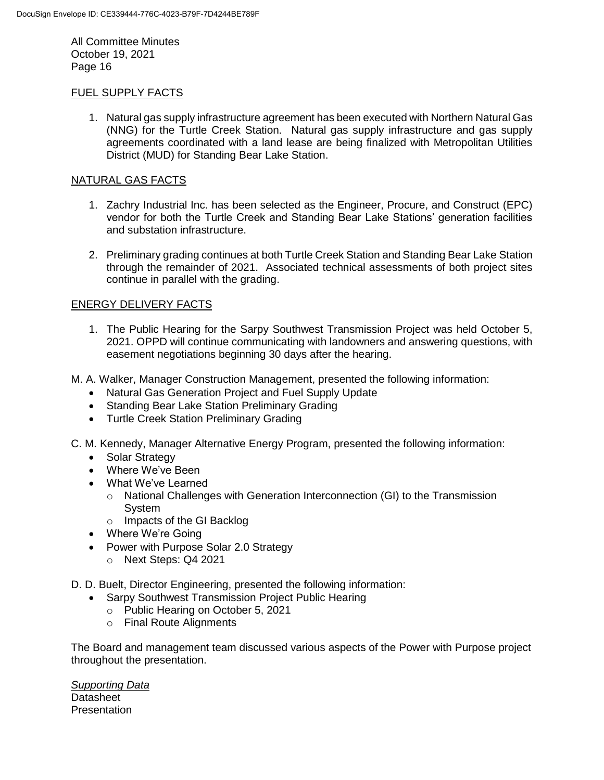#### FUEL SUPPLY FACTS

1. Natural gas supply infrastructure agreement has been executed with Northern Natural Gas (NNG) for the Turtle Creek Station. Natural gas supply infrastructure and gas supply agreements coordinated with a land lease are being finalized with Metropolitan Utilities District (MUD) for Standing Bear Lake Station.

#### NATURAL GAS FACTS

- 1. Zachry Industrial Inc. has been selected as the Engineer, Procure, and Construct (EPC) vendor for both the Turtle Creek and Standing Bear Lake Stations' generation facilities and substation infrastructure.
- 2. Preliminary grading continues at both Turtle Creek Station and Standing Bear Lake Station through the remainder of 2021. Associated technical assessments of both project sites continue in parallel with the grading.

# ENERGY DELIVERY FACTS

- 1. The Public Hearing for the Sarpy Southwest Transmission Project was held October 5, 2021. OPPD will continue communicating with landowners and answering questions, with easement negotiations beginning 30 days after the hearing.
- M. A. Walker, Manager Construction Management, presented the following information:
	- Natural Gas Generation Project and Fuel Supply Update
	- Standing Bear Lake Station Preliminary Grading
	- Turtle Creek Station Preliminary Grading
- C. M. Kennedy, Manager Alternative Energy Program, presented the following information:
	- Solar Strategy
	- Where We've Been
	- What We've Learned
		- $\circ$  National Challenges with Generation Interconnection (GI) to the Transmission System
		- o Impacts of the GI Backlog
	- Where We're Going
	- Power with Purpose Solar 2.0 Strategy
		- o Next Steps: Q4 2021
- D. D. Buelt, Director Engineering, presented the following information:
	- Sarpy Southwest Transmission Project Public Hearing
		- o Public Hearing on October 5, 2021
		- o Final Route Alignments

The Board and management team discussed various aspects of the Power with Purpose project throughout the presentation.

*Supporting Data* **Datasheet Presentation**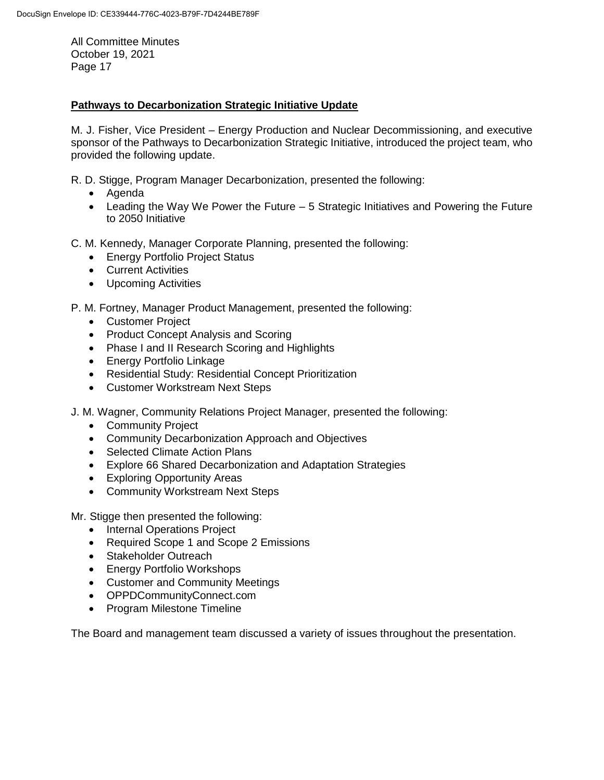# **Pathways to Decarbonization Strategic Initiative Update**

M. J. Fisher, Vice President – Energy Production and Nuclear Decommissioning, and executive sponsor of the Pathways to Decarbonization Strategic Initiative, introduced the project team, who provided the following update.

R. D. Stigge, Program Manager Decarbonization, presented the following:

- Agenda
- Leading the Way We Power the Future 5 Strategic Initiatives and Powering the Future to 2050 Initiative
- C. M. Kennedy, Manager Corporate Planning, presented the following:
	- Energy Portfolio Project Status
	- Current Activities
	- Upcoming Activities
- P. M. Fortney, Manager Product Management, presented the following:
	- Customer Project
	- Product Concept Analysis and Scoring
	- Phase I and II Research Scoring and Highlights
	- Energy Portfolio Linkage
	- Residential Study: Residential Concept Prioritization
	- Customer Workstream Next Steps
- J. M. Wagner, Community Relations Project Manager, presented the following:
	- Community Project
	- Community Decarbonization Approach and Objectives
	- Selected Climate Action Plans
	- Explore 66 Shared Decarbonization and Adaptation Strategies
	- Exploring Opportunity Areas
	- Community Workstream Next Steps

Mr. Stigge then presented the following:

- Internal Operations Project
- Required Scope 1 and Scope 2 Emissions
- Stakeholder Outreach
- Energy Portfolio Workshops
- Customer and Community Meetings
- OPPDCommunityConnect.com
- Program Milestone Timeline

The Board and management team discussed a variety of issues throughout the presentation.